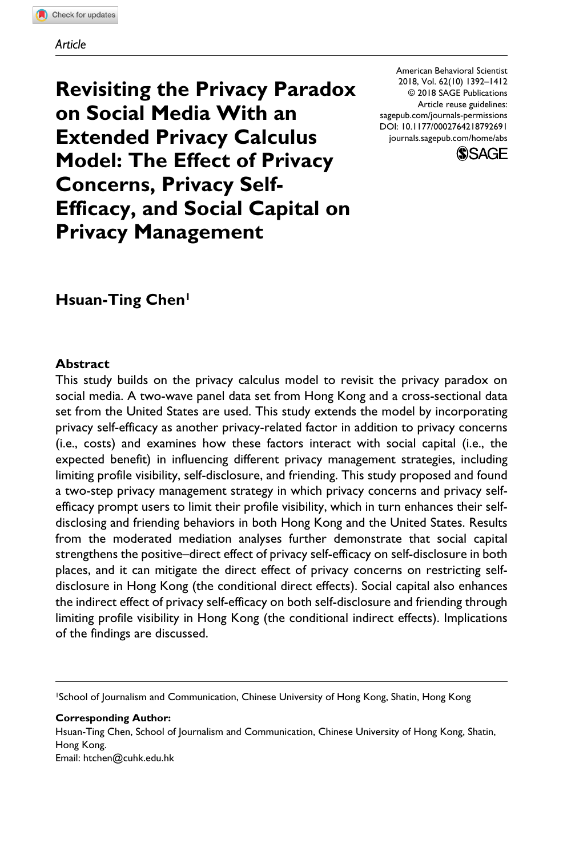#### *Article*

**Revisiting the Privacy Paradox on Social Media With an Extended Privacy Calculus Model: The Effect of Privacy Concerns, Privacy Self-Efficacy, and Social Capital on Privacy Management**

DOI: 10.1177/0002764218792691 American Behavioral Scientist 2018, Vol. 62(10) 1392–1412 © 2018 SAGE Publications Article reuse guidelines: [sagepub.com/journals-permissions](https://us.sagepub.com/en-us/journals-permissions) [journals.sagepub.com/home/abs](https://journals.sagepub.com/home/abs)



# **Hsuan-Ting Chen1**

#### **Abstract**

This study builds on the privacy calculus model to revisit the privacy paradox on social media. A two-wave panel data set from Hong Kong and a cross-sectional data set from the United States are used. This study extends the model by incorporating privacy self-efficacy as another privacy-related factor in addition to privacy concerns (i.e., costs) and examines how these factors interact with social capital (i.e., the expected benefit) in influencing different privacy management strategies, including limiting profile visibility, self-disclosure, and friending. This study proposed and found a two-step privacy management strategy in which privacy concerns and privacy selfefficacy prompt users to limit their profile visibility, which in turn enhances their selfdisclosing and friending behaviors in both Hong Kong and the United States. Results from the moderated mediation analyses further demonstrate that social capital strengthens the positive–direct effect of privacy self-efficacy on self-disclosure in both places, and it can mitigate the direct effect of privacy concerns on restricting selfdisclosure in Hong Kong (the conditional direct effects). Social capital also enhances the indirect effect of privacy self-efficacy on both self-disclosure and friending through limiting profile visibility in Hong Kong (the conditional indirect effects). Implications of the findings are discussed.

1School of Journalism and Communication, Chinese University of Hong Kong, Shatin, Hong Kong

**Corresponding Author:** Hsuan-Ting Chen, School of Journalism and Communication, Chinese University of Hong Kong, Shatin, Hong Kong. Email: htchen@cuhk.edu.hk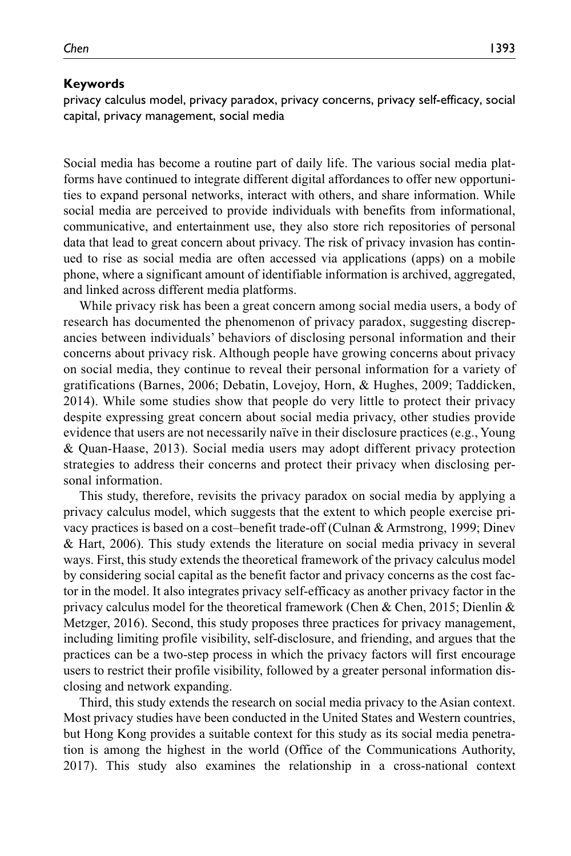#### **Keywords**

privacy calculus model, privacy paradox, privacy concerns, privacy self-efficacy, social capital, privacy management, social media

Social media has become a routine part of daily life. The various social media platforms have continued to integrate different digital affordances to offer new opportunities to expand personal networks, interact with others, and share information. While social media are perceived to provide individuals with benefits from informational, communicative, and entertainment use, they also store rich repositories of personal data that lead to great concern about privacy. The risk of privacy invasion has continued to rise as social media are often accessed via applications (apps) on a mobile phone, where a significant amount of identifiable information is archived, aggregated, and linked across different media platforms.

While privacy risk has been a great concern among social media users, a body of research has documented the phenomenon of privacy paradox, suggesting discrepancies between individuals' behaviors of disclosing personal information and their concerns about privacy risk. Although people have growing concerns about privacy on social media, they continue to reveal their personal information for a variety of gratifications (Barnes, 2006; Debatin, Lovejoy, Horn, & Hughes, 2009; Taddicken, 2014). While some studies show that people do very little to protect their privacy despite expressing great concern about social media privacy, other studies provide evidence that users are not necessarily naïve in their disclosure practices (e.g., Young & Quan-Haase, 2013). Social media users may adopt different privacy protection strategies to address their concerns and protect their privacy when disclosing personal information.

This study, therefore, revisits the privacy paradox on social media by applying a privacy calculus model, which suggests that the extent to which people exercise privacy practices is based on a cost–benefit trade-off (Culnan & Armstrong, 1999; Dinev & Hart, 2006). This study extends the literature on social media privacy in several ways. First, this study extends the theoretical framework of the privacy calculus model by considering social capital as the benefit factor and privacy concerns as the cost factor in the model. It also integrates privacy self-efficacy as another privacy factor in the privacy calculus model for the theoretical framework (Chen & Chen, 2015; Dienlin & Metzger, 2016). Second, this study proposes three practices for privacy management, including limiting profile visibility, self-disclosure, and friending, and argues that the practices can be a two-step process in which the privacy factors will first encourage users to restrict their profile visibility, followed by a greater personal information disclosing and network expanding.

Third, this study extends the research on social media privacy to the Asian context. Most privacy studies have been conducted in the United States and Western countries, but Hong Kong provides a suitable context for this study as its social media penetration is among the highest in the world (Office of the Communications Authority, 2017). This study also examines the relationship in a cross-national context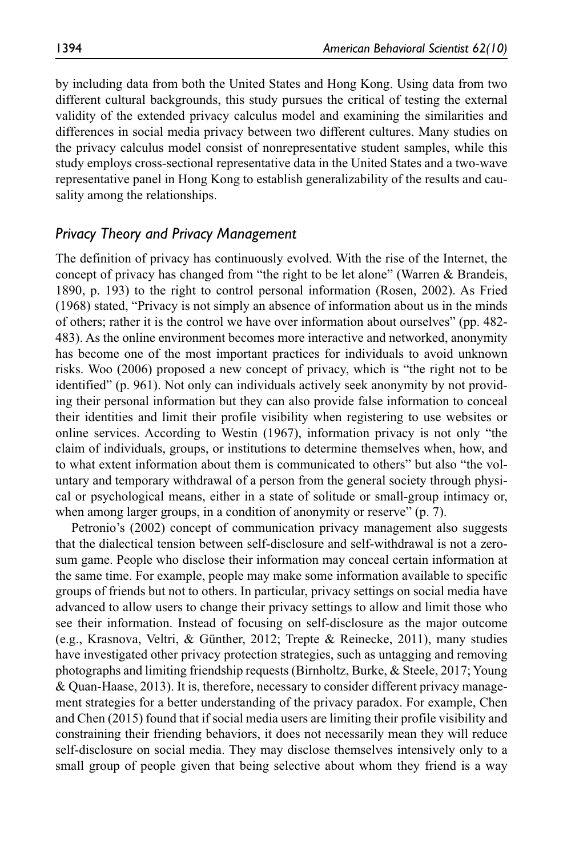by including data from both the United States and Hong Kong. Using data from two different cultural backgrounds, this study pursues the critical of testing the external validity of the extended privacy calculus model and examining the similarities and differences in social media privacy between two different cultures. Many studies on the privacy calculus model consist of nonrepresentative student samples, while this study employs cross-sectional representative data in the United States and a two-wave representative panel in Hong Kong to establish generalizability of the results and causality among the relationships.

### *Privacy Theory and Privacy Management*

The definition of privacy has continuously evolved. With the rise of the Internet, the concept of privacy has changed from "the right to be let alone" (Warren & Brandeis, 1890, p. 193) to the right to control personal information (Rosen, 2002). As Fried (1968) stated, "Privacy is not simply an absence of information about us in the minds of others; rather it is the control we have over information about ourselves" (pp. 482- 483). As the online environment becomes more interactive and networked, anonymity has become one of the most important practices for individuals to avoid unknown risks. Woo (2006) proposed a new concept of privacy, which is "the right not to be identified" (p. 961). Not only can individuals actively seek anonymity by not providing their personal information but they can also provide false information to conceal their identities and limit their profile visibility when registering to use websites or online services. According to Westin (1967), information privacy is not only "the claim of individuals, groups, or institutions to determine themselves when, how, and to what extent information about them is communicated to others" but also "the voluntary and temporary withdrawal of a person from the general society through physical or psychological means, either in a state of solitude or small-group intimacy or, when among larger groups, in a condition of anonymity or reserve" (p. 7).

Petronio's (2002) concept of communication privacy management also suggests that the dialectical tension between self-disclosure and self-withdrawal is not a zerosum game. People who disclose their information may conceal certain information at the same time. For example, people may make some information available to specific groups of friends but not to others. In particular, privacy settings on social media have advanced to allow users to change their privacy settings to allow and limit those who see their information. Instead of focusing on self-disclosure as the major outcome (e.g., Krasnova, Veltri, & Günther, 2012; Trepte & Reinecke, 2011), many studies have investigated other privacy protection strategies, such as untagging and removing photographs and limiting friendship requests (Birnholtz, Burke, & Steele, 2017; Young & Quan-Haase, 2013). It is, therefore, necessary to consider different privacy management strategies for a better understanding of the privacy paradox. For example, Chen and Chen (2015) found that if social media users are limiting their profile visibility and constraining their friending behaviors, it does not necessarily mean they will reduce self-disclosure on social media. They may disclose themselves intensively only to a small group of people given that being selective about whom they friend is a way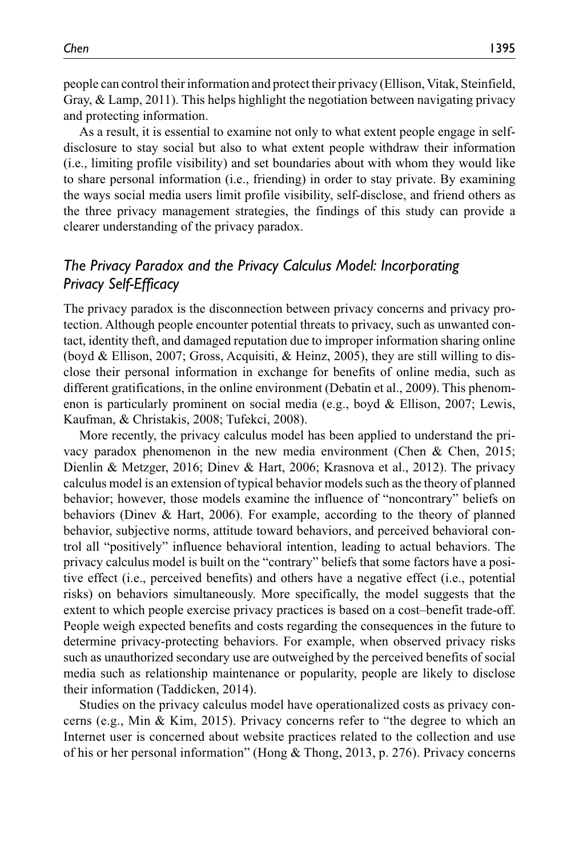people can control their information and protect their privacy (Ellison, Vitak, Steinfield, Gray, & Lamp, 2011). This helps highlight the negotiation between navigating privacy and protecting information.

As a result, it is essential to examine not only to what extent people engage in selfdisclosure to stay social but also to what extent people withdraw their information (i.e., limiting profile visibility) and set boundaries about with whom they would like to share personal information (i.e., friending) in order to stay private. By examining the ways social media users limit profile visibility, self-disclose, and friend others as the three privacy management strategies, the findings of this study can provide a clearer understanding of the privacy paradox.

# *The Privacy Paradox and the Privacy Calculus Model: Incorporating Privacy Self-Efficacy*

The privacy paradox is the disconnection between privacy concerns and privacy protection. Although people encounter potential threats to privacy, such as unwanted contact, identity theft, and damaged reputation due to improper information sharing online (boyd & Ellison, 2007; Gross, Acquisiti, & Heinz, 2005), they are still willing to disclose their personal information in exchange for benefits of online media, such as different gratifications, in the online environment (Debatin et al., 2009). This phenomenon is particularly prominent on social media (e.g., boyd & Ellison, 2007; Lewis, Kaufman, & Christakis, 2008; Tufekci, 2008).

More recently, the privacy calculus model has been applied to understand the privacy paradox phenomenon in the new media environment (Chen & Chen, 2015; Dienlin & Metzger, 2016; Dinev & Hart, 2006; Krasnova et al., 2012). The privacy calculus model is an extension of typical behavior models such as the theory of planned behavior; however, those models examine the influence of "noncontrary" beliefs on behaviors (Dinev & Hart, 2006). For example, according to the theory of planned behavior, subjective norms, attitude toward behaviors, and perceived behavioral control all "positively" influence behavioral intention, leading to actual behaviors. The privacy calculus model is built on the "contrary" beliefs that some factors have a positive effect (i.e., perceived benefits) and others have a negative effect (i.e., potential risks) on behaviors simultaneously. More specifically, the model suggests that the extent to which people exercise privacy practices is based on a cost–benefit trade-off. People weigh expected benefits and costs regarding the consequences in the future to determine privacy-protecting behaviors. For example, when observed privacy risks such as unauthorized secondary use are outweighed by the perceived benefits of social media such as relationship maintenance or popularity, people are likely to disclose their information (Taddicken, 2014).

Studies on the privacy calculus model have operationalized costs as privacy concerns (e.g., Min & Kim, 2015). Privacy concerns refer to "the degree to which an Internet user is concerned about website practices related to the collection and use of his or her personal information" (Hong & Thong, 2013, p. 276). Privacy concerns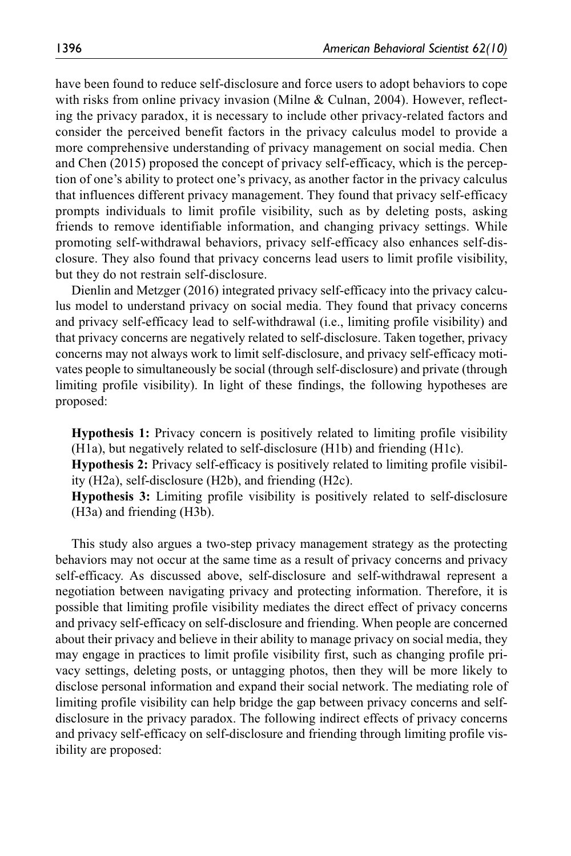have been found to reduce self-disclosure and force users to adopt behaviors to cope with risks from online privacy invasion (Milne & Culnan, 2004). However, reflecting the privacy paradox, it is necessary to include other privacy-related factors and consider the perceived benefit factors in the privacy calculus model to provide a more comprehensive understanding of privacy management on social media. Chen and Chen (2015) proposed the concept of privacy self-efficacy, which is the perception of one's ability to protect one's privacy, as another factor in the privacy calculus that influences different privacy management. They found that privacy self-efficacy prompts individuals to limit profile visibility, such as by deleting posts, asking friends to remove identifiable information, and changing privacy settings. While promoting self-withdrawal behaviors, privacy self-efficacy also enhances self-disclosure. They also found that privacy concerns lead users to limit profile visibility, but they do not restrain self-disclosure.

Dienlin and Metzger (2016) integrated privacy self-efficacy into the privacy calculus model to understand privacy on social media. They found that privacy concerns and privacy self-efficacy lead to self-withdrawal (i.e., limiting profile visibility) and that privacy concerns are negatively related to self-disclosure. Taken together, privacy concerns may not always work to limit self-disclosure, and privacy self-efficacy motivates people to simultaneously be social (through self-disclosure) and private (through limiting profile visibility). In light of these findings, the following hypotheses are proposed:

**Hypothesis 1:** Privacy concern is positively related to limiting profile visibility (H1a), but negatively related to self-disclosure (H1b) and friending (H1c).

**Hypothesis 2:** Privacy self-efficacy is positively related to limiting profile visibility (H2a), self-disclosure (H2b), and friending (H2c).

**Hypothesis 3:** Limiting profile visibility is positively related to self-disclosure (H3a) and friending (H3b).

This study also argues a two-step privacy management strategy as the protecting behaviors may not occur at the same time as a result of privacy concerns and privacy self-efficacy. As discussed above, self-disclosure and self-withdrawal represent a negotiation between navigating privacy and protecting information. Therefore, it is possible that limiting profile visibility mediates the direct effect of privacy concerns and privacy self-efficacy on self-disclosure and friending. When people are concerned about their privacy and believe in their ability to manage privacy on social media, they may engage in practices to limit profile visibility first, such as changing profile privacy settings, deleting posts, or untagging photos, then they will be more likely to disclose personal information and expand their social network. The mediating role of limiting profile visibility can help bridge the gap between privacy concerns and selfdisclosure in the privacy paradox. The following indirect effects of privacy concerns and privacy self-efficacy on self-disclosure and friending through limiting profile visibility are proposed: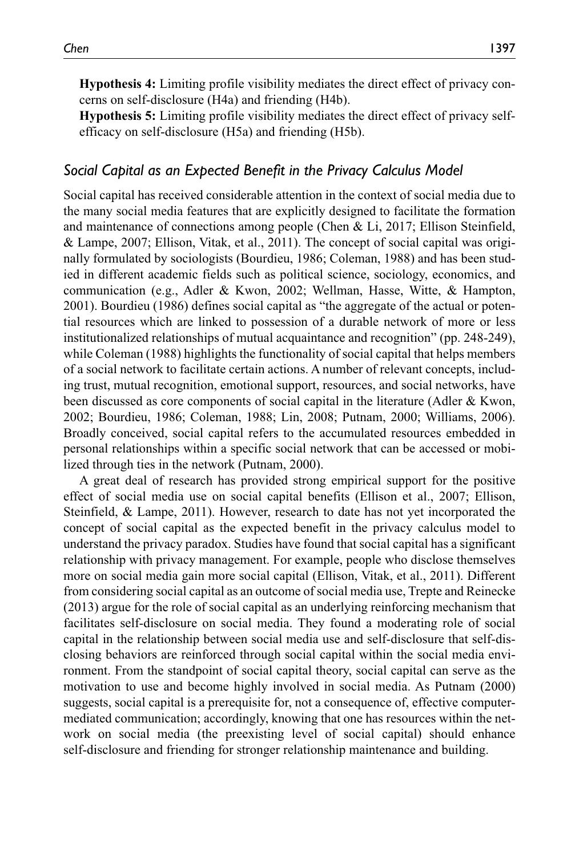**Hypothesis 4:** Limiting profile visibility mediates the direct effect of privacy concerns on self-disclosure (H4a) and friending (H4b).

**Hypothesis 5:** Limiting profile visibility mediates the direct effect of privacy selfefficacy on self-disclosure (H5a) and friending (H5b).

### *Social Capital as an Expected Benefit in the Privacy Calculus Model*

Social capital has received considerable attention in the context of social media due to the many social media features that are explicitly designed to facilitate the formation and maintenance of connections among people (Chen & Li, 2017; Ellison Steinfield, & Lampe, 2007; Ellison, Vitak, et al., 2011). The concept of social capital was originally formulated by sociologists (Bourdieu, 1986; Coleman, 1988) and has been studied in different academic fields such as political science, sociology, economics, and communication (e.g., Adler & Kwon, 2002; Wellman, Hasse, Witte, & Hampton, 2001). Bourdieu (1986) defines social capital as "the aggregate of the actual or potential resources which are linked to possession of a durable network of more or less institutionalized relationships of mutual acquaintance and recognition" (pp. 248-249), while Coleman (1988) highlights the functionality of social capital that helps members of a social network to facilitate certain actions. A number of relevant concepts, including trust, mutual recognition, emotional support, resources, and social networks, have been discussed as core components of social capital in the literature (Adler & Kwon, 2002; Bourdieu, 1986; Coleman, 1988; Lin, 2008; Putnam, 2000; Williams, 2006). Broadly conceived, social capital refers to the accumulated resources embedded in personal relationships within a specific social network that can be accessed or mobilized through ties in the network (Putnam, 2000).

A great deal of research has provided strong empirical support for the positive effect of social media use on social capital benefits (Ellison et al., 2007; Ellison, Steinfield, & Lampe, 2011). However, research to date has not yet incorporated the concept of social capital as the expected benefit in the privacy calculus model to understand the privacy paradox. Studies have found that social capital has a significant relationship with privacy management. For example, people who disclose themselves more on social media gain more social capital (Ellison, Vitak, et al., 2011). Different from considering social capital as an outcome of social media use, Trepte and Reinecke (2013) argue for the role of social capital as an underlying reinforcing mechanism that facilitates self-disclosure on social media. They found a moderating role of social capital in the relationship between social media use and self-disclosure that self-disclosing behaviors are reinforced through social capital within the social media environment. From the standpoint of social capital theory, social capital can serve as the motivation to use and become highly involved in social media. As Putnam (2000) suggests, social capital is a prerequisite for, not a consequence of, effective computermediated communication; accordingly, knowing that one has resources within the network on social media (the preexisting level of social capital) should enhance self-disclosure and friending for stronger relationship maintenance and building.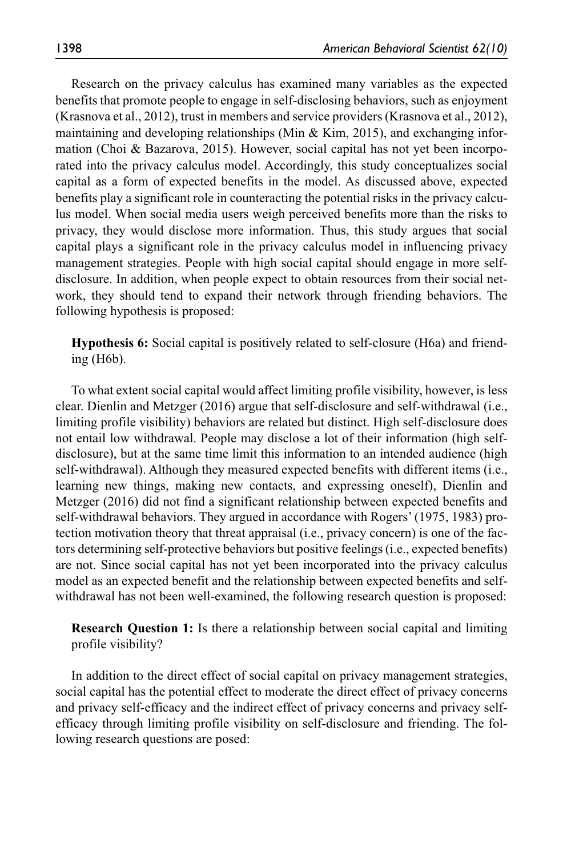Research on the privacy calculus has examined many variables as the expected benefits that promote people to engage in self-disclosing behaviors, such as enjoyment (Krasnova et al., 2012), trust in members and service providers (Krasnova et al., 2012), maintaining and developing relationships (Min & Kim, 2015), and exchanging information (Choi & Bazarova, 2015). However, social capital has not yet been incorporated into the privacy calculus model. Accordingly, this study conceptualizes social capital as a form of expected benefits in the model. As discussed above, expected benefits play a significant role in counteracting the potential risks in the privacy calculus model. When social media users weigh perceived benefits more than the risks to privacy, they would disclose more information. Thus, this study argues that social capital plays a significant role in the privacy calculus model in influencing privacy management strategies. People with high social capital should engage in more selfdisclosure. In addition, when people expect to obtain resources from their social network, they should tend to expand their network through friending behaviors. The following hypothesis is proposed:

**Hypothesis 6:** Social capital is positively related to self-closure (H6a) and friending (H6b).

To what extent social capital would affect limiting profile visibility, however, is less clear. Dienlin and Metzger (2016) argue that self-disclosure and self-withdrawal (i.e., limiting profile visibility) behaviors are related but distinct. High self-disclosure does not entail low withdrawal. People may disclose a lot of their information (high selfdisclosure), but at the same time limit this information to an intended audience (high self-withdrawal). Although they measured expected benefits with different items (i.e., learning new things, making new contacts, and expressing oneself), Dienlin and Metzger (2016) did not find a significant relationship between expected benefits and self-withdrawal behaviors. They argued in accordance with Rogers' (1975, 1983) protection motivation theory that threat appraisal (i.e., privacy concern) is one of the factors determining self-protective behaviors but positive feelings (i.e., expected benefits) are not. Since social capital has not yet been incorporated into the privacy calculus model as an expected benefit and the relationship between expected benefits and selfwithdrawal has not been well-examined, the following research question is proposed:

**Research Question 1:** Is there a relationship between social capital and limiting profile visibility?

In addition to the direct effect of social capital on privacy management strategies, social capital has the potential effect to moderate the direct effect of privacy concerns and privacy self-efficacy and the indirect effect of privacy concerns and privacy selfefficacy through limiting profile visibility on self-disclosure and friending. The following research questions are posed: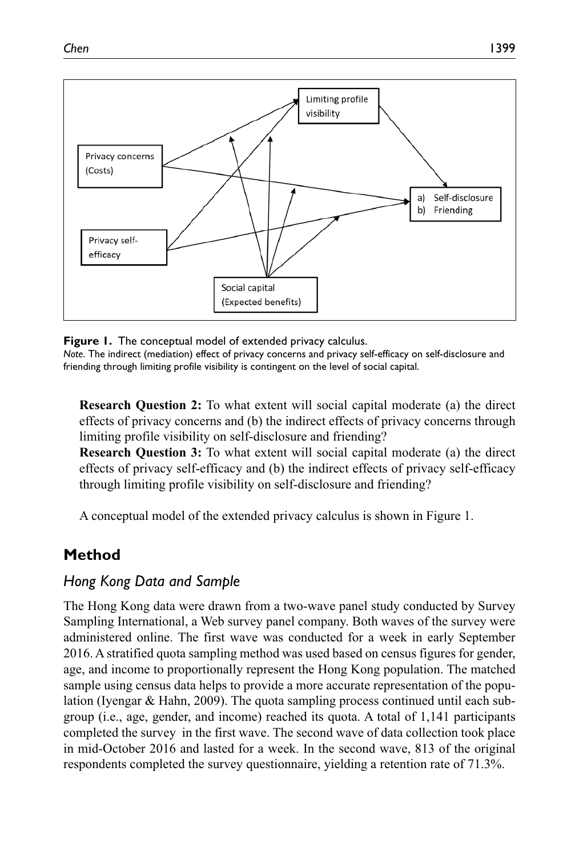

**Figure 1.** The conceptual model of extended privacy calculus. *Note*. The indirect (mediation) effect of privacy concerns and privacy self-efficacy on self-disclosure and friending through limiting profile visibility is contingent on the level of social capital.

**Research Question 2:** To what extent will social capital moderate (a) the direct effects of privacy concerns and (b) the indirect effects of privacy concerns through limiting profile visibility on self-disclosure and friending?

**Research Question 3:** To what extent will social capital moderate (a) the direct effects of privacy self-efficacy and (b) the indirect effects of privacy self-efficacy through limiting profile visibility on self-disclosure and friending?

A conceptual model of the extended privacy calculus is shown in Figure 1.

# **Method**

# *Hong Kong Data and Sample*

The Hong Kong data were drawn from a two-wave panel study conducted by Survey Sampling International, a Web survey panel company. Both waves of the survey were administered online. The first wave was conducted for a week in early September 2016. A stratified quota sampling method was used based on census figures for gender, age, and income to proportionally represent the Hong Kong population. The matched sample using census data helps to provide a more accurate representation of the population (Iyengar & Hahn, 2009). The quota sampling process continued until each subgroup (i.e., age, gender, and income) reached its quota. A total of 1,141 participants completed the survey in the first wave. The second wave of data collection took place in mid-October 2016 and lasted for a week. In the second wave, 813 of the original respondents completed the survey questionnaire, yielding a retention rate of 71.3%.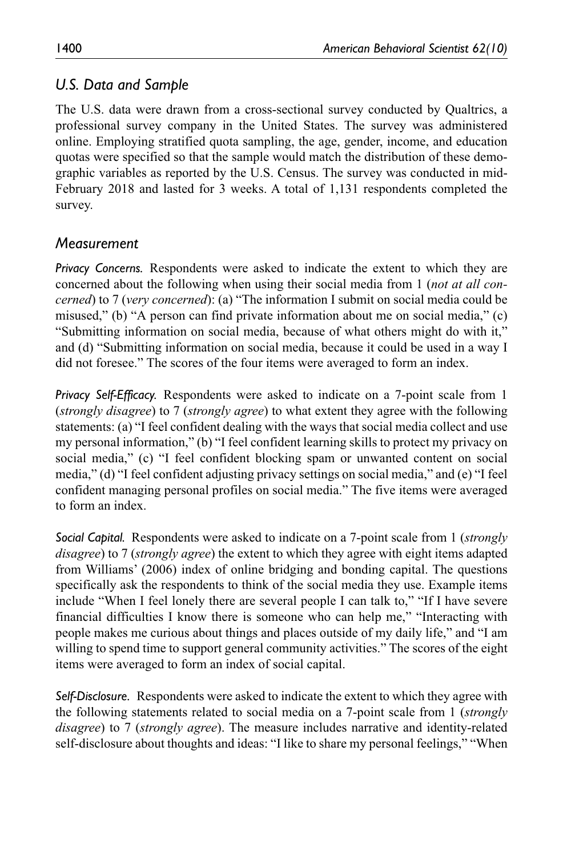## *U.S. Data and Sample*

The U.S. data were drawn from a cross-sectional survey conducted by Qualtrics, a professional survey company in the United States. The survey was administered online. Employing stratified quota sampling, the age, gender, income, and education quotas were specified so that the sample would match the distribution of these demographic variables as reported by the U.S. Census. The survey was conducted in mid-February 2018 and lasted for 3 weeks. A total of 1,131 respondents completed the survey.

## *Measurement*

*Privacy Concerns.* Respondents were asked to indicate the extent to which they are concerned about the following when using their social media from 1 (*not at all concerned*) to 7 (*very concerned*): (a) "The information I submit on social media could be misused," (b) "A person can find private information about me on social media," (c) "Submitting information on social media, because of what others might do with it," and (d) "Submitting information on social media, because it could be used in a way I did not foresee." The scores of the four items were averaged to form an index.

*Privacy Self-Efficacy.* Respondents were asked to indicate on a 7-point scale from 1 (*strongly disagree*) to 7 (*strongly agree*) to what extent they agree with the following statements: (a) "I feel confident dealing with the ways that social media collect and use my personal information," (b) "I feel confident learning skills to protect my privacy on social media," (c) "I feel confident blocking spam or unwanted content on social media," (d) "I feel confident adjusting privacy settings on social media," and (e) "I feel confident managing personal profiles on social media." The five items were averaged to form an index.

*Social Capital.* Respondents were asked to indicate on a 7-point scale from 1 (*strongly disagree*) to 7 (*strongly agree*) the extent to which they agree with eight items adapted from Williams' (2006) index of online bridging and bonding capital. The questions specifically ask the respondents to think of the social media they use. Example items include "When I feel lonely there are several people I can talk to," "If I have severe financial difficulties I know there is someone who can help me," "Interacting with people makes me curious about things and places outside of my daily life," and "I am willing to spend time to support general community activities." The scores of the eight items were averaged to form an index of social capital.

*Self-Disclosure.* Respondents were asked to indicate the extent to which they agree with the following statements related to social media on a 7-point scale from 1 (*strongly disagree*) to 7 (*strongly agree*). The measure includes narrative and identity-related self-disclosure about thoughts and ideas: "I like to share my personal feelings," "When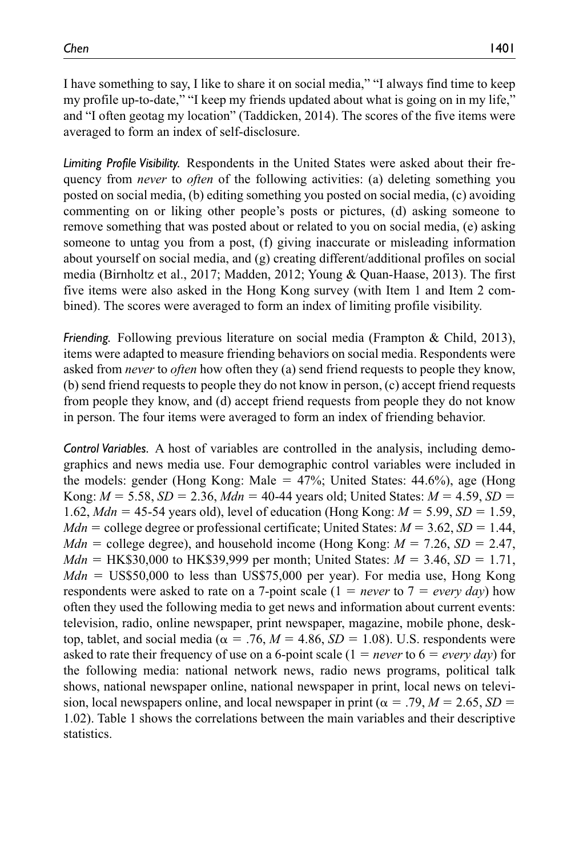I have something to say, I like to share it on social media," "I always find time to keep my profile up-to-date," "I keep my friends updated about what is going on in my life," and "I often geotag my location" (Taddicken, 2014). The scores of the five items were averaged to form an index of self-disclosure.

*Limiting Profile Visibility.* Respondents in the United States were asked about their frequency from *never* to *often* of the following activities: (a) deleting something you posted on social media, (b) editing something you posted on social media, (c) avoiding commenting on or liking other people's posts or pictures, (d) asking someone to remove something that was posted about or related to you on social media, (e) asking someone to untag you from a post, (f) giving inaccurate or misleading information about yourself on social media, and (g) creating different/additional profiles on social media (Birnholtz et al., 2017; Madden, 2012; Young & Quan-Haase, 2013). The first five items were also asked in the Hong Kong survey (with Item 1 and Item 2 combined). The scores were averaged to form an index of limiting profile visibility.

*Friending.* Following previous literature on social media (Frampton & Child, 2013), items were adapted to measure friending behaviors on social media. Respondents were asked from *never* to *often* how often they (a) send friend requests to people they know, (b) send friend requests to people they do not know in person, (c) accept friend requests from people they know, and (d) accept friend requests from people they do not know in person. The four items were averaged to form an index of friending behavior.

*Control Variables.* A host of variables are controlled in the analysis, including demographics and news media use. Four demographic control variables were included in the models: gender (Hong Kong: Male  $=$  47%; United States: 44.6%), age (Hong Kong:  $M = 5.58$ ,  $SD = 2.36$ ,  $Mdn = 40-44$  years old; United States:  $M = 4.59$ ,  $SD =$ 1.62, *Mdn* = 45-54 years old), level of education (Hong Kong: *M* = 5.99, *SD* = 1.59, *Mdn* = college degree or professional certificate; United States:  $M = 3.62$ ,  $SD = 1.44$ , *Mdn* = college degree), and household income (Hong Kong:  $M = 7.26$ ,  $SD = 2.47$ , *Mdn* = HK\$30,000 to HK\$39,999 per month; United States: *M* = 3.46, *SD* = 1.71, *Mdn* = US\$50,000 to less than US\$75,000 per year). For media use, Hong Kong respondents were asked to rate on a 7-point scale (1 = *never* to 7 = *every day*) how often they used the following media to get news and information about current events: television, radio, online newspaper, print newspaper, magazine, mobile phone, desktop, tablet, and social media ( $\alpha = .76$ ,  $M = 4.86$ ,  $SD = 1.08$ ). U.S. respondents were asked to rate their frequency of use on a 6-point scale  $(1 = never to 6 = every day)$  for the following media: national network news, radio news programs, political talk shows, national newspaper online, national newspaper in print, local news on television, local newspapers online, and local newspaper in print ( $\alpha = .79$ ,  $M = 2.65$ ,  $SD =$ 1.02). Table 1 shows the correlations between the main variables and their descriptive statistics.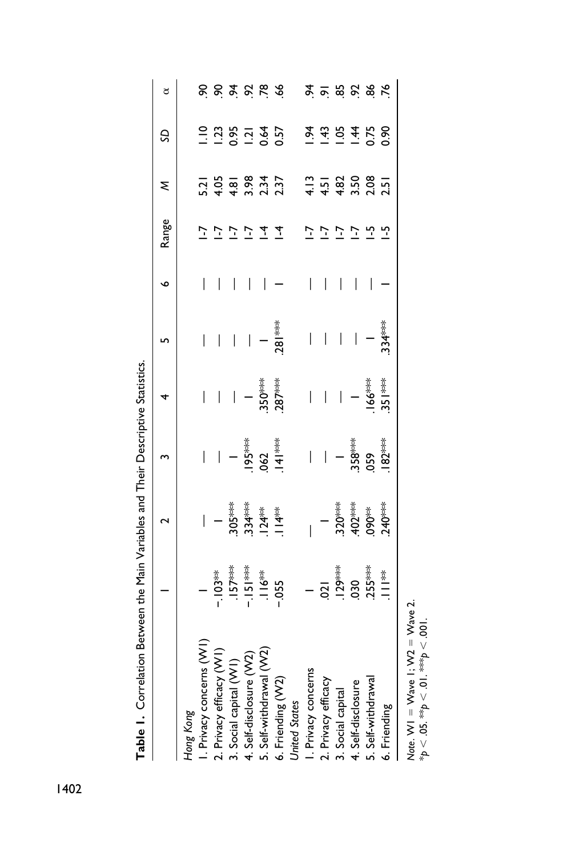| <b>CONSIDERED A CONSIDERED A SUBSTRATED IN A SUBSTRATED TO A SUBSTRATED TO A SUBSTRATED TO A SUBSTRATED A</b> |                                                                            |                                                |                                                                                 |                          |                          |                          |                |                            |                                                                                                                 |                     |
|---------------------------------------------------------------------------------------------------------------|----------------------------------------------------------------------------|------------------------------------------------|---------------------------------------------------------------------------------|--------------------------|--------------------------|--------------------------|----------------|----------------------------|-----------------------------------------------------------------------------------------------------------------|---------------------|
|                                                                                                               |                                                                            | $\sim$                                         |                                                                                 | 4                        | ŋ                        | $\bullet$                | Range          | ξ                          | S                                                                                                               | đ                   |
| Hong Kong                                                                                                     |                                                                            |                                                |                                                                                 |                          |                          |                          |                |                            |                                                                                                                 |                     |
| I. Privacy concerns (VVI                                                                                      |                                                                            |                                                | $\bigg $                                                                        |                          | $\overline{\phantom{a}}$ | $\overline{\phantom{a}}$ |                |                            | $\frac{1}{2}$                                                                                                   | 8                   |
| 2. Privacy efficacy (W1)                                                                                      |                                                                            | $\vert -$                                      | $\bigg  \hspace{0.1 cm}$                                                        |                          |                          | $\overline{\phantom{a}}$ |                | $\frac{21}{4.05}$          | 1.23                                                                                                            |                     |
| 3. Social capital (WI)                                                                                        |                                                                            |                                                |                                                                                 |                          | $\overline{\phantom{a}}$ | I                        | Σ              |                            |                                                                                                                 |                     |
| 4. Self-disclosure (VV2)                                                                                      |                                                                            |                                                |                                                                                 | $\ $ –                   | $\overline{\mathbb{F}}$  | I                        | こ              | $4.81$<br>$3.34$<br>$2.37$ | 0.57<br>0.57<br>0.57                                                                                            | 87888               |
| 5. Self-withdrawal (W2)                                                                                       |                                                                            |                                                |                                                                                 | $.350***$<br>$.287***$   |                          |                          | $\overline{1}$ |                            |                                                                                                                 |                     |
| 6. Friending (W2)                                                                                             | - 103 <sup>⊯⊭</sup><br>- 157 <sup>⊯⊯</sup><br>- 151 <sup>⊯⊯</sup><br>- 055 |                                                |                                                                                 |                          | $.281***$                |                          | 7              |                            |                                                                                                                 |                     |
| <b>United States</b>                                                                                          |                                                                            |                                                |                                                                                 |                          |                          |                          |                |                            |                                                                                                                 |                     |
| I. Privacy concerns                                                                                           |                                                                            |                                                | $\overline{\phantom{a}}$                                                        | $\overline{\phantom{a}}$ | $\bigg $                 | I                        |                |                            |                                                                                                                 |                     |
| 2. Privacy efficacy                                                                                           |                                                                            | $\overline{1}$                                 |                                                                                 | $\overline{\phantom{a}}$ | $\bigg $                 | $\bigg $                 | こ              |                            |                                                                                                                 |                     |
| 3. Social capital                                                                                             |                                                                            | $320***$<br>$-402***$<br>$-390***$<br>$-40***$ | $ \frac{1}{35}$<br>$ \frac{2}{35}$<br>$ \frac{2}{35}$<br>$ \frac{2}{35}$<br>$-$ |                          | $\bigg $                 | I                        | J-             |                            | $\frac{1}{2}$ $\frac{1}{3}$ $\frac{1}{2}$ $\frac{1}{4}$ $\frac{1}{5}$ $\frac{2}{5}$ $\frac{2}{5}$ $\frac{2}{5}$ | <b>st mind mind</b> |
| 4. Self-disclosure                                                                                            |                                                                            |                                                |                                                                                 | $\ $ –                   | $\bigg $                 | I                        | こ              |                            |                                                                                                                 |                     |
| 5. Self-withdrawa                                                                                             |                                                                            |                                                |                                                                                 | $.166***$<br>351***      | $\overline{a}$           | I                        | $\frac{1}{2}$  |                            |                                                                                                                 |                     |
| 6. Friending                                                                                                  |                                                                            |                                                |                                                                                 |                          | $.334***$                |                          | <u>ب</u>       |                            |                                                                                                                 |                     |
|                                                                                                               |                                                                            |                                                |                                                                                 |                          |                          |                          |                |                            |                                                                                                                 |                     |

Table L. Correlation Between the Main Variables and Their Descriptive Statistics **Table 1.** Correlation Between the Main Variables and Their Descriptive Statistics.

Note. WI = Wave I; W2 = Wave 2.<br>\*p < .05. \*\*p < .01. \*\*\*p < .001. *Note*. W1 = Wave 1; W2 = Wave 2. \**p* < .05. \*\**p* < .01. \*\*\**p* < .001.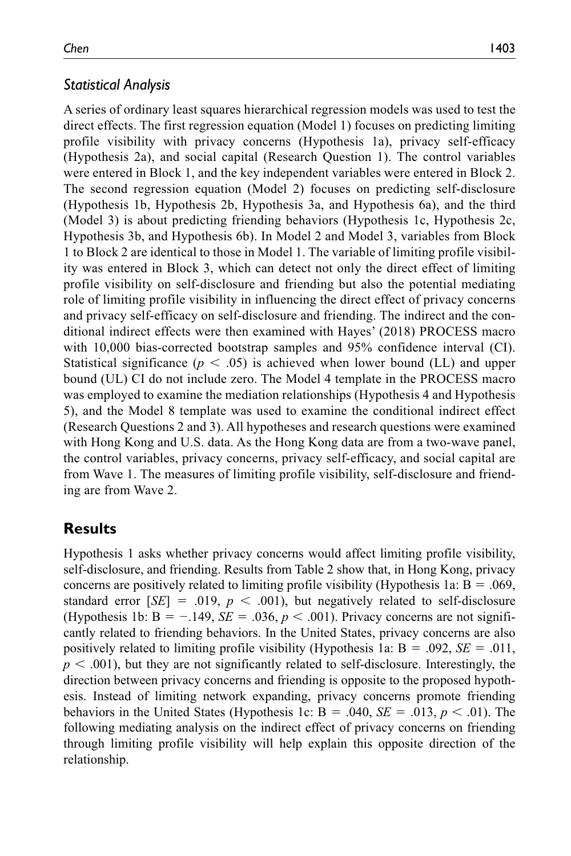### *Statistical Analysis*

A series of ordinary least squares hierarchical regression models was used to test the direct effects. The first regression equation (Model 1) focuses on predicting limiting profile visibility with privacy concerns (Hypothesis 1a), privacy self-efficacy (Hypothesis 2a), and social capital (Research Question 1). The control variables were entered in Block 1, and the key independent variables were entered in Block 2. The second regression equation (Model 2) focuses on predicting self-disclosure (Hypothesis 1b, Hypothesis 2b, Hypothesis 3a, and Hypothesis 6a), and the third (Model 3) is about predicting friending behaviors (Hypothesis 1c, Hypothesis 2c, Hypothesis 3b, and Hypothesis 6b). In Model 2 and Model 3, variables from Block 1 to Block 2 are identical to those in Model 1. The variable of limiting profile visibility was entered in Block 3, which can detect not only the direct effect of limiting profile visibility on self-disclosure and friending but also the potential mediating role of limiting profile visibility in influencing the direct effect of privacy concerns and privacy self-efficacy on self-disclosure and friending. The indirect and the conditional indirect effects were then examined with Hayes' (2018) PROCESS macro with 10,000 bias-corrected bootstrap samples and 95% confidence interval (CI). Statistical significance  $(p < .05)$  is achieved when lower bound (LL) and upper bound (UL) CI do not include zero. The Model 4 template in the PROCESS macro was employed to examine the mediation relationships (Hypothesis 4 and Hypothesis 5), and the Model 8 template was used to examine the conditional indirect effect (Research Questions 2 and 3). All hypotheses and research questions were examined with Hong Kong and U.S. data. As the Hong Kong data are from a two-wave panel, the control variables, privacy concerns, privacy self-efficacy, and social capital are from Wave 1. The measures of limiting profile visibility, self-disclosure and friending are from Wave 2.

# **Results**

Hypothesis 1 asks whether privacy concerns would affect limiting profile visibility, self-disclosure, and friending. Results from Table 2 show that, in Hong Kong, privacy concerns are positively related to limiting profile visibility (Hypothesis 1a:  $B = .069$ , standard error  $[SE] = .019$ ,  $p < .001$ ), but negatively related to self-disclosure (Hypothesis 1b:  $B = -0.149$ ,  $SE = 0.036$ ,  $p < 0.001$ ). Privacy concerns are not significantly related to friending behaviors. In the United States, privacy concerns are also positively related to limiting profile visibility (Hypothesis 1a: Β = .092, *SE* = .011,  $p < .001$ ), but they are not significantly related to self-disclosure. Interestingly, the direction between privacy concerns and friending is opposite to the proposed hypothesis. Instead of limiting network expanding, privacy concerns promote friending behaviors in the United States (Hypothesis 1c: Β = .040, *SE* = .013, *p* < .01). The following mediating analysis on the indirect effect of privacy concerns on friending through limiting profile visibility will help explain this opposite direction of the relationship.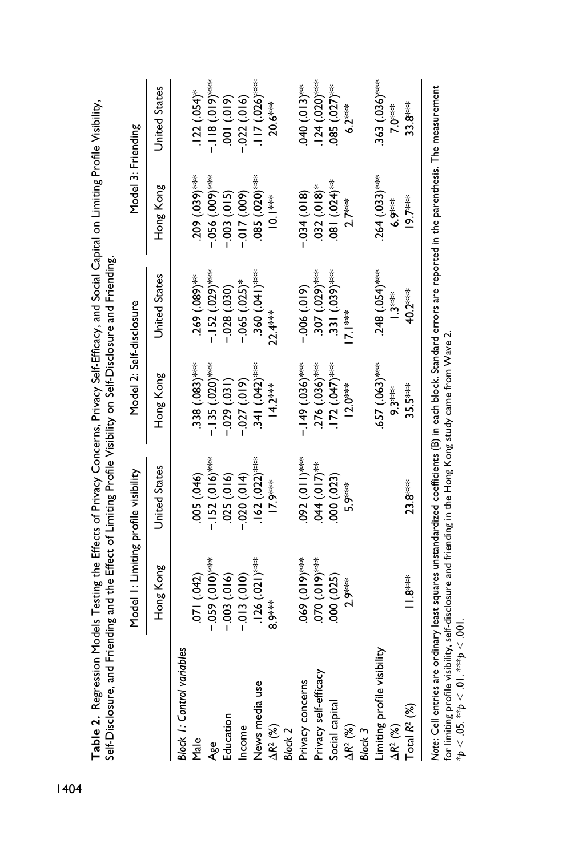| Self-Disclosure, and Friending and the Effect of Limiting Profile Visibility on Self-Disclosure and Friending.                                                |                                      |                   |                          |                            |                    |                                      |
|---------------------------------------------------------------------------------------------------------------------------------------------------------------|--------------------------------------|-------------------|--------------------------|----------------------------|--------------------|--------------------------------------|
|                                                                                                                                                               | Model 1: Limiting profile visibility |                   | Model 2: Self-disclosure |                            | Model 3: Friending |                                      |
|                                                                                                                                                               | Hong Kong                            | United States     | Hong Kong                | <b>United States</b>       | Hong Kong          | <b>United States</b>                 |
| <b>Block 1: Control variables</b>                                                                                                                             |                                      |                   |                          |                            |                    |                                      |
| Male                                                                                                                                                          | 071 (.042)                           | 005 (.046)        | $(0.083)$ ***            | $(0.089)$ **               | $(0.039)$ ***      | $.122(.054)$ *                       |
| Age                                                                                                                                                           | $-0.059$ (0.01)                      | - $.152(016)$ *** | $-135$ (.020)***         | $-152$ (.029)***           | $(000)$ 556.       | *** (610') 811 -                     |
| Education                                                                                                                                                     | $-0.003$ (.016)                      | $(016)$ $(25)$    | $-0.029(0.031)$          | $-0.028(0.030)$            | $-0.003(0.015)$    | $(01)$ $(01)$                        |
| Income                                                                                                                                                        | $-0.010(-$                           | $-0.020(0.14)$    | $(010)$ (27 $(0.01)$     | $-0.065$ $(0.025)$ *       | $-0.07(009)$       | $-0.022(016)$                        |
| News media use                                                                                                                                                | $.126(.021)$ ***                     | $.162(.022)$ ***  | $(0.042)$ ***            | (0.360)(0.041)             | $0.085$ (.020) *** | $\frac{1}{2}$ (10.026) $\frac{1}{2}$ |
| $\Delta R^2$ (%)                                                                                                                                              | 8.9**                                | 7.9***            | $14.2***$                | $22.4***$                  | **<br>10.1         | $20.6***$                            |
| Block <sub>2</sub>                                                                                                                                            |                                      |                   |                          |                            |                    |                                      |
| Privacy concerns                                                                                                                                              | $0.0191$ $(0.191)$                   | $092(011)^*$      | $-149(036)^{***}$        | $-0.06(0.19)$              | $(810.)$ +20.      | 040 (.013)**                         |
| Privacy self-efficacy                                                                                                                                         | (0.010, 0.070)                       | $0.044(017)*$     | $(0.036)$ ***            | (0.107, 0.029)             | $032(018)$ *       | $.124(020)$ ***                      |
| Social capital                                                                                                                                                | (000)(025)                           | (000)(023)        | $172 (047)$ ***          | $(0.39)$ ***               | $(160)$ $(024)$    | $.085(.027)$ <sup>**</sup>           |
| $\Delta R^2$ (%)                                                                                                                                              | 2.9***                               | 5.9***            | $12.0***$                | !<br>7.I**                 | $2.7***$           | $6.2***$                             |
| Block 3                                                                                                                                                       |                                      |                   |                          |                            |                    |                                      |
| Limiting profile visibility                                                                                                                                   |                                      |                   | $.657(063)$ ***          | $248(.054)$ <sup>***</sup> | $.264 (033)$ ***   | $.363(036)$ <sup>***</sup>           |
| $\Delta$ R <sup>2</sup> (%)                                                                                                                                   |                                      |                   | $9.3***$                 | l.3**                      | $6.9***$           | 7.0***                               |
| Total $R^2$ $(%)$                                                                                                                                             | i 8***                               | $23.8***$         | $35.5***$                | 40.2***                    | $19.7***$          | $33.8***$                            |
| Nate: Cell entries are ordinary least squares unstandardized coefficients (B) in each block. Standard errors are reported in the parenthesis. The measurement |                                      |                   |                          |                            |                    |                                      |

Table 2. Regression Models Testing the Effects of Privacy Concerns, Privacy Self-Efficacy, and Social Capital on Limiting Profile Visibility, **Table 2.** Regression Models Testing the Effects of Privacy Concerns, Privacy Self-Efficacy, and Social Capital on Limiting Profile Visibility, *Note*: Cell entries are ordinary least squares unstandardized coefficients (B) in each block. Standard errors are reported in the parenthesis. The measurement Note: Cell entries are ordinary least squares unstandardzed coemcients (B) in each block. Standard ei<br>for limiting profile visibility, self-disclosure and friending in the Hong Kong study came from Wave 2.<br>\*p < .05. \*\*p < for limiting profile visibility, self-disclosure and friending in the Hong Kong study came from Wave 2. \**p* < .05. \*\**p* < .01. \*\*\**p* < .001.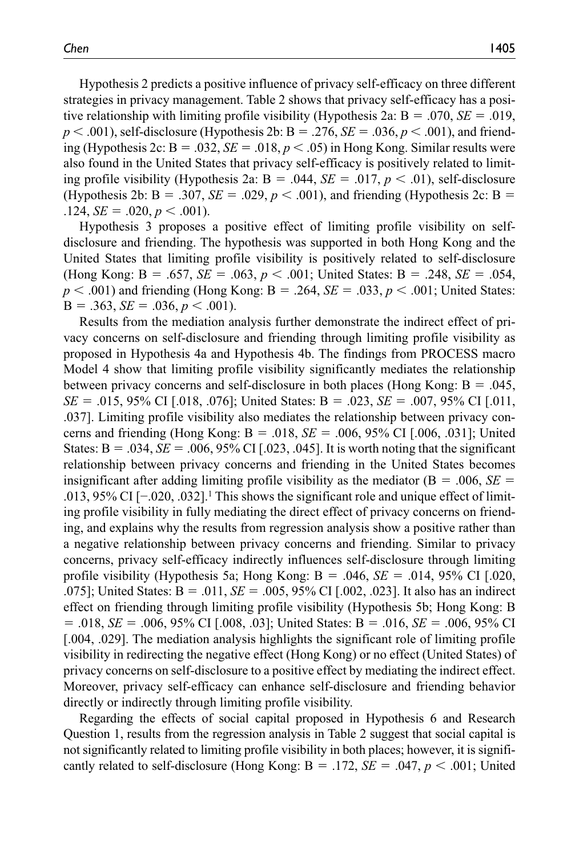Hypothesis 2 predicts a positive influence of privacy self-efficacy on three different strategies in privacy management. Table 2 shows that privacy self-efficacy has a positive relationship with limiting profile visibility (Hypothesis 2a: Β = .070, *SE* = .019, *p* < .001), self-disclosure (Hypothesis 2b: Β = .276, *SE* = .036, *p* < .001), and friending (Hypothesis 2c:  $B = .032$ ,  $SE = .018$ ,  $p < .05$ ) in Hong Kong. Similar results were also found in the United States that privacy self-efficacy is positively related to limiting profile visibility (Hypothesis 2a:  $B = .044$ ,  $SE = .017$ ,  $p < .01$ ), self-disclosure (Hypothesis 2b:  $B = .307$ ,  $SE = .029$ ,  $p < .001$ ), and friending (Hypothesis 2c:  $B =$  $.124, SE = .020, p < .001$ .

Hypothesis 3 proposes a positive effect of limiting profile visibility on selfdisclosure and friending. The hypothesis was supported in both Hong Kong and the United States that limiting profile visibility is positively related to self-disclosure (Hong Kong: Β = .657, *SE* = .063, *p* < .001; United States: Β = .248, *SE* = .054, *p* < .001) and friending (Hong Kong: Β = .264, *SE* = .033, *p* < .001; United States:  $B = .363, SE = .036, p < .001$ .

Results from the mediation analysis further demonstrate the indirect effect of privacy concerns on self-disclosure and friending through limiting profile visibility as proposed in Hypothesis 4a and Hypothesis 4b. The findings from PROCESS macro Model 4 show that limiting profile visibility significantly mediates the relationship between privacy concerns and self-disclosure in both places (Hong Kong:  $B = .045$ , *SE* = .015, 95% CI [.018, .076]; United States: B = .023, *SE* = .007, 95% CI [.011, .037]. Limiting profile visibility also mediates the relationship between privacy concerns and friending (Hong Kong: Β = .018, *SE* = .006, 95% CI [.006, .031]; United States:  $B = .034$ ,  $SE = .006$ ,  $95\%$  CI [.023, .045]. It is worth noting that the significant relationship between privacy concerns and friending in the United States becomes insignificant after adding limiting profile visibility as the mediator ( $B = .006$ ,  $SE =$ .013, 95% CI [−.020, .032].1 This shows the significant role and unique effect of limiting profile visibility in fully mediating the direct effect of privacy concerns on friending, and explains why the results from regression analysis show a positive rather than a negative relationship between privacy concerns and friending. Similar to privacy concerns, privacy self-efficacy indirectly influences self-disclosure through limiting profile visibility (Hypothesis 5a; Hong Kong: Β = .046, *SE* = .014, 95% CI [.020, .075]; United States: Β = .011, *SE* = .005, 95% CI [.002, .023]. It also has an indirect effect on friending through limiting profile visibility (Hypothesis 5b; Hong Kong: Β = .018, *SE* = .006, 95% CI [.008, .03]; United States: Β = .016, *SE* = .006, 95% CI [.004, .029]. The mediation analysis highlights the significant role of limiting profile visibility in redirecting the negative effect (Hong Kong) or no effect (United States) of privacy concerns on self-disclosure to a positive effect by mediating the indirect effect. Moreover, privacy self-efficacy can enhance self-disclosure and friending behavior directly or indirectly through limiting profile visibility.

Regarding the effects of social capital proposed in Hypothesis 6 and Research Question 1, results from the regression analysis in Table 2 suggest that social capital is not significantly related to limiting profile visibility in both places; however, it is significantly related to self-disclosure (Hong Kong:  $B = .172$ ,  $SE = .047$ ,  $p < .001$ ; United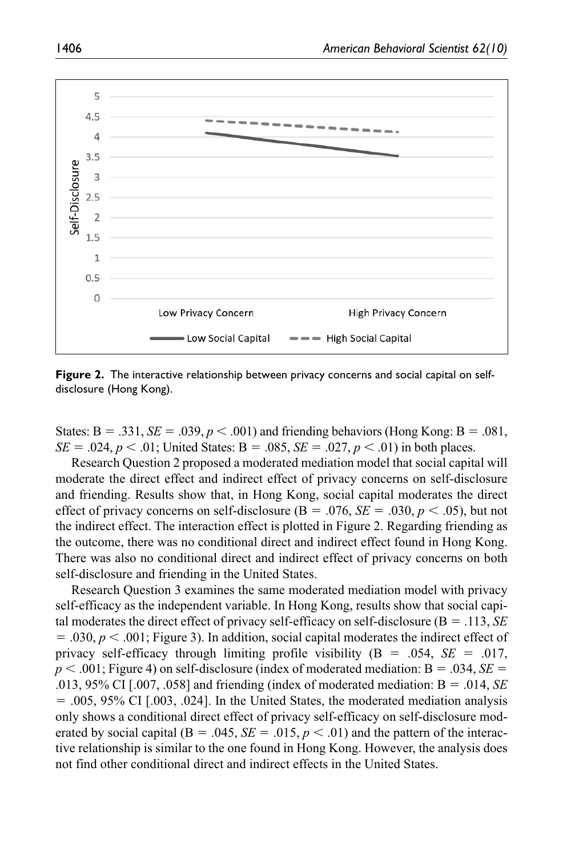

**Figure 2.** The interactive relationship between privacy concerns and social capital on selfdisclosure (Hong Kong).

States:  $B = .331$ ,  $SE = .039$ ,  $p < .001$ ) and friending behaviors (Hong Kong:  $B = .081$ , *SE* = .024, *p* < .01; United States: B = .085, *SE* = .027, *p* < .01) in both places.

Research Question 2 proposed a moderated mediation model that social capital will moderate the direct effect and indirect effect of privacy concerns on self-disclosure and friending. Results show that, in Hong Kong, social capital moderates the direct effect of privacy concerns on self-disclosure ( $B = .076$ ,  $SE = .030$ ,  $p < .05$ ), but not the indirect effect. The interaction effect is plotted in Figure 2. Regarding friending as the outcome, there was no conditional direct and indirect effect found in Hong Kong. There was also no conditional direct and indirect effect of privacy concerns on both self-disclosure and friending in the United States.

Research Question 3 examines the same moderated mediation model with privacy self-efficacy as the independent variable. In Hong Kong, results show that social capital moderates the direct effect of privacy self-efficacy on self-disclosure (Β = .113, *SE*  $= .030, p < .001$ ; Figure 3). In addition, social capital moderates the indirect effect of privacy self-efficacy through limiting profile visibility (Β = .054, *SE* = .017, *p* < .001; Figure 4) on self-disclosure (index of moderated mediation: Β = .034, *SE* = .013, 95% CI [.007, .058] and friending (index of moderated mediation: Β = .014, *SE*  $= .005, 95\%$  CI [.003, .024]. In the United States, the moderated mediation analysis only shows a conditional direct effect of privacy self-efficacy on self-disclosure moderated by social capital ( $B = .045$ ,  $SE = .015$ ,  $p < .01$ ) and the pattern of the interactive relationship is similar to the one found in Hong Kong. However, the analysis does not find other conditional direct and indirect effects in the United States.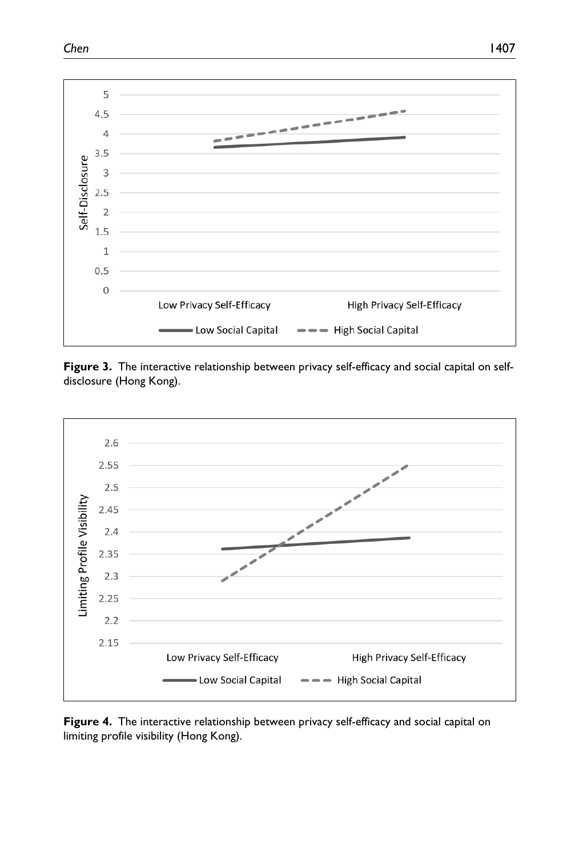



**Figure 3.** The interactive relationship between privacy self-efficacy and social capital on selfdisclosure (Hong Kong).



**Figure 4.** The interactive relationship between privacy self-efficacy and social capital on limiting profile visibility (Hong Kong).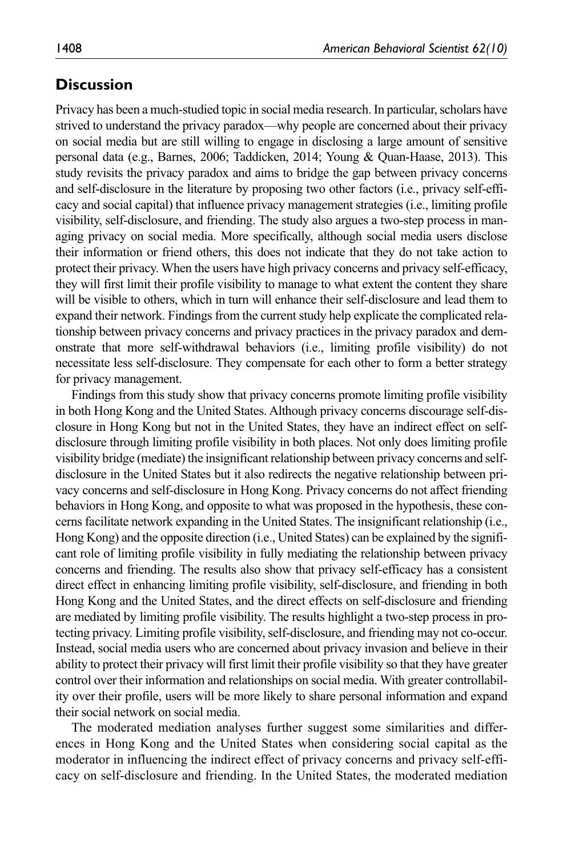### **Discussion**

Privacy has been a much-studied topic in social media research. In particular, scholars have strived to understand the privacy paradox—why people are concerned about their privacy on social media but are still willing to engage in disclosing a large amount of sensitive personal data (e.g., Barnes, 2006; Taddicken, 2014; Young & Quan-Haase, 2013). This study revisits the privacy paradox and aims to bridge the gap between privacy concerns and self-disclosure in the literature by proposing two other factors (i.e., privacy self-efficacy and social capital) that influence privacy management strategies (i.e., limiting profile visibility, self-disclosure, and friending. The study also argues a two-step process in managing privacy on social media. More specifically, although social media users disclose their information or friend others, this does not indicate that they do not take action to protect their privacy. When the users have high privacy concerns and privacy self-efficacy, they will first limit their profile visibility to manage to what extent the content they share will be visible to others, which in turn will enhance their self-disclosure and lead them to expand their network. Findings from the current study help explicate the complicated relationship between privacy concerns and privacy practices in the privacy paradox and demonstrate that more self-withdrawal behaviors (i.e., limiting profile visibility) do not necessitate less self-disclosure. They compensate for each other to form a better strategy for privacy management.

Findings from this study show that privacy concerns promote limiting profile visibility in both Hong Kong and the United States. Although privacy concerns discourage self-disclosure in Hong Kong but not in the United States, they have an indirect effect on selfdisclosure through limiting profile visibility in both places. Not only does limiting profile visibility bridge (mediate) the insignificant relationship between privacy concerns and selfdisclosure in the United States but it also redirects the negative relationship between privacy concerns and self-disclosure in Hong Kong. Privacy concerns do not affect friending behaviors in Hong Kong, and opposite to what was proposed in the hypothesis, these concerns facilitate network expanding in the United States. The insignificant relationship (i.e., Hong Kong) and the opposite direction (i.e., United States) can be explained by the significant role of limiting profile visibility in fully mediating the relationship between privacy concerns and friending. The results also show that privacy self-efficacy has a consistent direct effect in enhancing limiting profile visibility, self-disclosure, and friending in both Hong Kong and the United States, and the direct effects on self-disclosure and friending are mediated by limiting profile visibility. The results highlight a two-step process in protecting privacy. Limiting profile visibility, self-disclosure, and friending may not co-occur. Instead, social media users who are concerned about privacy invasion and believe in their ability to protect their privacy will first limit their profile visibility so that they have greater control over their information and relationships on social media. With greater controllability over their profile, users will be more likely to share personal information and expand their social network on social media.

The moderated mediation analyses further suggest some similarities and differences in Hong Kong and the United States when considering social capital as the moderator in influencing the indirect effect of privacy concerns and privacy self-efficacy on self-disclosure and friending. In the United States, the moderated mediation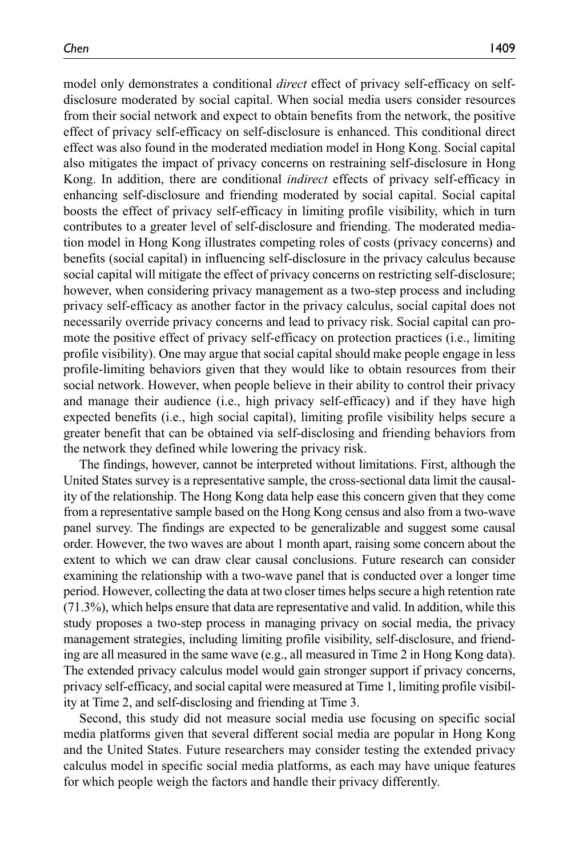model only demonstrates a conditional *direct* effect of privacy self-efficacy on selfdisclosure moderated by social capital. When social media users consider resources from their social network and expect to obtain benefits from the network, the positive effect of privacy self-efficacy on self-disclosure is enhanced. This conditional direct effect was also found in the moderated mediation model in Hong Kong. Social capital also mitigates the impact of privacy concerns on restraining self-disclosure in Hong Kong. In addition, there are conditional *indirect* effects of privacy self-efficacy in enhancing self-disclosure and friending moderated by social capital. Social capital boosts the effect of privacy self-efficacy in limiting profile visibility, which in turn contributes to a greater level of self-disclosure and friending. The moderated mediation model in Hong Kong illustrates competing roles of costs (privacy concerns) and benefits (social capital) in influencing self-disclosure in the privacy calculus because social capital will mitigate the effect of privacy concerns on restricting self-disclosure; however, when considering privacy management as a two-step process and including privacy self-efficacy as another factor in the privacy calculus, social capital does not necessarily override privacy concerns and lead to privacy risk. Social capital can promote the positive effect of privacy self-efficacy on protection practices (i.e., limiting profile visibility). One may argue that social capital should make people engage in less profile-limiting behaviors given that they would like to obtain resources from their social network. However, when people believe in their ability to control their privacy and manage their audience (i.e., high privacy self-efficacy) and if they have high expected benefits (i.e., high social capital), limiting profile visibility helps secure a greater benefit that can be obtained via self-disclosing and friending behaviors from the network they defined while lowering the privacy risk.

The findings, however, cannot be interpreted without limitations. First, although the United States survey is a representative sample, the cross-sectional data limit the causality of the relationship. The Hong Kong data help ease this concern given that they come from a representative sample based on the Hong Kong census and also from a two-wave panel survey. The findings are expected to be generalizable and suggest some causal order. However, the two waves are about 1 month apart, raising some concern about the extent to which we can draw clear causal conclusions. Future research can consider examining the relationship with a two-wave panel that is conducted over a longer time period. However, collecting the data at two closer times helps secure a high retention rate (71.3%), which helps ensure that data are representative and valid. In addition, while this study proposes a two-step process in managing privacy on social media, the privacy management strategies, including limiting profile visibility, self-disclosure, and friending are all measured in the same wave (e.g., all measured in Time 2 in Hong Kong data). The extended privacy calculus model would gain stronger support if privacy concerns, privacy self-efficacy, and social capital were measured at Time 1, limiting profile visibility at Time 2, and self-disclosing and friending at Time 3.

Second, this study did not measure social media use focusing on specific social media platforms given that several different social media are popular in Hong Kong and the United States. Future researchers may consider testing the extended privacy calculus model in specific social media platforms, as each may have unique features for which people weigh the factors and handle their privacy differently.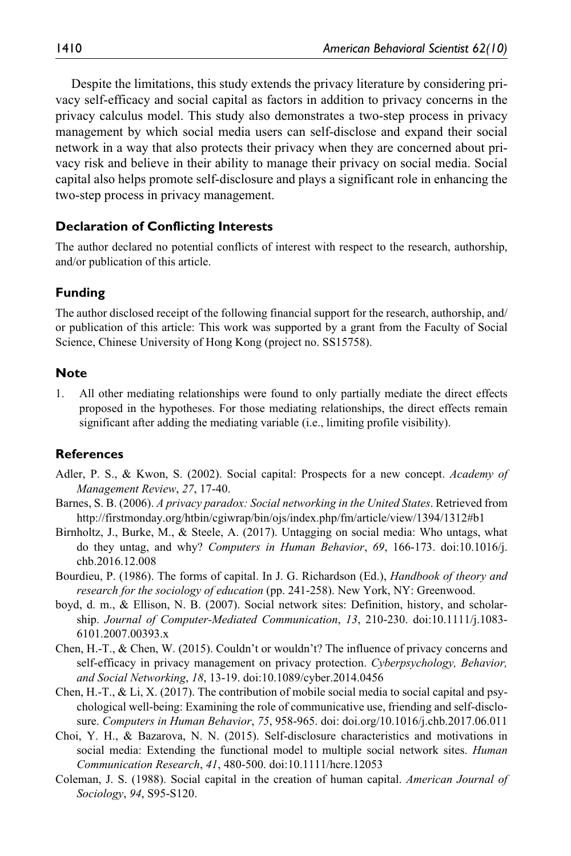Despite the limitations, this study extends the privacy literature by considering privacy self-efficacy and social capital as factors in addition to privacy concerns in the privacy calculus model. This study also demonstrates a two-step process in privacy management by which social media users can self-disclose and expand their social network in a way that also protects their privacy when they are concerned about privacy risk and believe in their ability to manage their privacy on social media. Social capital also helps promote self-disclosure and plays a significant role in enhancing the two-step process in privacy management.

#### **Declaration of Conflicting Interests**

The author declared no potential conflicts of interest with respect to the research, authorship, and/or publication of this article.

### **Funding**

The author disclosed receipt of the following financial support for the research, authorship, and/ or publication of this article: This work was supported by a grant from the Faculty of Social Science, Chinese University of Hong Kong (project no. SS15758).

#### **Note**

1. All other mediating relationships were found to only partially mediate the direct effects proposed in the hypotheses. For those mediating relationships, the direct effects remain significant after adding the mediating variable (i.e., limiting profile visibility).

#### **References**

- Adler, P. S., & Kwon, S. (2002). Social capital: Prospects for a new concept. *Academy of Management Review*, *27*, 17-40.
- Barnes, S. B. (2006). *A privacy paradox: Social networking in the United States*. Retrieved from <http://firstmonday.org/htbin/cgiwrap/bin/ojs/index.php/fm/article/view/1394/1312#b1>
- Birnholtz, J., Burke, M., & Steele, A. (2017). Untagging on social media: Who untags, what do they untag, and why? *Computers in Human Behavior*, *69*, 166-173. doi:10.1016/j. chb.2016.12.008
- Bourdieu, P. (1986). The forms of capital. In J. G. Richardson (Ed.), *Handbook of theory and research for the sociology of education* (pp. 241-258). New York, NY: Greenwood.
- boyd, d. m., & Ellison, N. B. (2007). Social network sites: Definition, history, and scholarship. *Journal of Computer-Mediated Communication*, *13*, 210-230. doi:10.1111/j.1083- 6101.2007.00393.x
- Chen, H.-T., & Chen, W. (2015). Couldn't or wouldn't? The influence of privacy concerns and self-efficacy in privacy management on privacy protection. *Cyberpsychology, Behavior, and Social Networking*, *18*, 13-19. doi:10.1089/cyber.2014.0456
- Chen, H.-T.,  $\&$  Li, X. (2017). The contribution of mobile social media to social capital and psychological well-being: Examining the role of communicative use, friending and self-disclosure. *Computers in Human Behavior*, *75*, 958-965. doi: doi.org/10.1016/j.chb.2017.06.011
- Choi, Y. H., & Bazarova, N. N. (2015). Self-disclosure characteristics and motivations in social media: Extending the functional model to multiple social network sites. *Human Communication Research*, *41*, 480-500. doi:10.1111/hcre.12053
- Coleman, J. S. (1988). Social capital in the creation of human capital. *American Journal of Sociology*, *94*, S95-S120.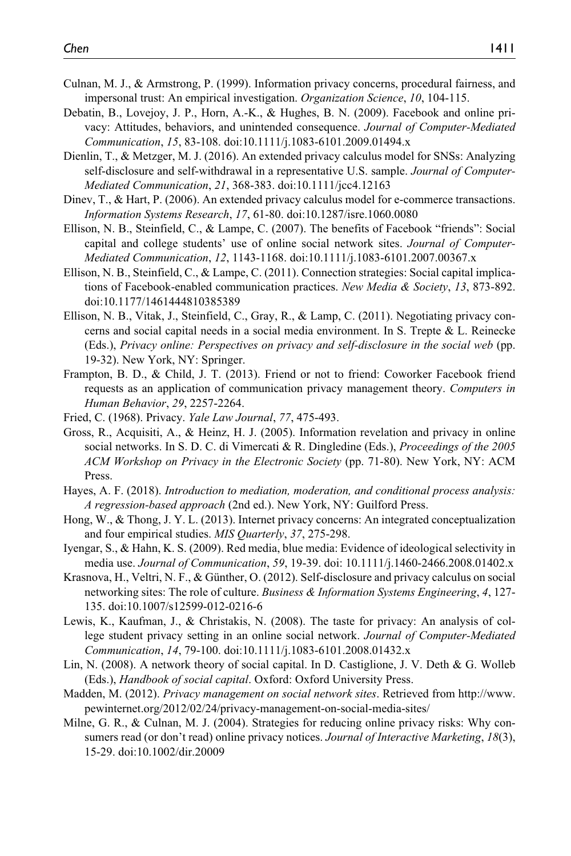- Culnan, M. J., & Armstrong, P. (1999). Information privacy concerns, procedural fairness, and impersonal trust: An empirical investigation. *Organization Science*, *10*, 104-115.
- Debatin, B., Lovejoy, J. P., Horn, A.-K., & Hughes, B. N. (2009). Facebook and online privacy: Attitudes, behaviors, and unintended consequence. *Journal of Computer-Mediated Communication*, *15*, 83-108. doi:10.1111/j.1083-6101.2009.01494.x
- Dienlin, T., & Metzger, M. J. (2016). An extended privacy calculus model for SNSs: Analyzing self-disclosure and self-withdrawal in a representative U.S. sample. *Journal of Computer-Mediated Communication*, *21*, 368-383. doi:10.1111/jcc4.12163
- Dinev, T., & Hart, P. (2006). An extended privacy calculus model for e-commerce transactions. *Information Systems Research*, *17*, 61-80. doi:10.1287/isre.1060.0080
- Ellison, N. B., Steinfield, C., & Lampe, C. (2007). The benefits of Facebook "friends": Social capital and college students' use of online social network sites. *Journal of Computer-Mediated Communication*, *12*, 1143-1168. doi:10.1111/j.1083-6101.2007.00367.x
- Ellison, N. B., Steinfield, C., & Lampe, C. (2011). Connection strategies: Social capital implications of Facebook-enabled communication practices. *New Media & Society*, *13*, 873-892. doi:10.1177/1461444810385389
- Ellison, N. B., Vitak, J., Steinfield, C., Gray, R., & Lamp, C. (2011). Negotiating privacy concerns and social capital needs in a social media environment. In S. Trepte & L. Reinecke (Eds.), *Privacy online: Perspectives on privacy and self-disclosure in the social web* (pp. 19-32). New York, NY: Springer.
- Frampton, B. D., & Child, J. T. (2013). Friend or not to friend: Coworker Facebook friend requests as an application of communication privacy management theory. *Computers in Human Behavior*, *29*, 2257-2264.
- Fried, C. (1968). Privacy. *Yale Law Journal*, *77*, 475-493.
- Gross, R., Acquisiti, A., & Heinz, H. J. (2005). Information revelation and privacy in online social networks. In S. D. C. di Vimercati & R. Dingledine (Eds.), *Proceedings of the 2005 ACM Workshop on Privacy in the Electronic Society* (pp. 71-80). New York, NY: ACM Press.
- Hayes, A. F. (2018). *Introduction to mediation, moderation, and conditional process analysis: A regression-based approach* (2nd ed.). New York, NY: Guilford Press.
- Hong, W., & Thong, J. Y. L. (2013). Internet privacy concerns: An integrated conceptualization and four empirical studies. *MIS Quarterly*, *37*, 275-298.
- Iyengar, S., & Hahn, K. S. (2009). Red media, blue media: Evidence of ideological selectivity in media use. *Journal of Communication*, *59*, 19-39. doi: 10.1111/j.1460-2466.2008.01402.x
- Krasnova, H., Veltri, N. F., & Günther, O. (2012). Self-disclosure and privacy calculus on social networking sites: The role of culture. *Business & Information Systems Engineering*, *4*, 127- 135. doi:10.1007/s12599-012-0216-6
- Lewis, K., Kaufman, J., & Christakis, N. (2008). The taste for privacy: An analysis of college student privacy setting in an online social network. *Journal of Computer-Mediated Communication*, *14*, 79-100. doi:10.1111/j.1083-6101.2008.01432.x
- Lin, N. (2008). A network theory of social capital. In D. Castiglione, J. V. Deth & G. Wolleb (Eds.), *Handbook of social capital*. Oxford: Oxford University Press.
- Madden, M. (2012). *Privacy management on social network sites*. Retrieved from [http://www.](http://www.pewinternet.org/2012/02/24/privacy-management-on-social-media-sites/) [pewinternet.org/2012/02/24/privacy-management-on-social-media-sites/](http://www.pewinternet.org/2012/02/24/privacy-management-on-social-media-sites/)
- Milne, G. R., & Culnan, M. J. (2004). Strategies for reducing online privacy risks: Why consumers read (or don't read) online privacy notices. *Journal of Interactive Marketing*, *18*(3), 15-29. doi:10.1002/dir.20009